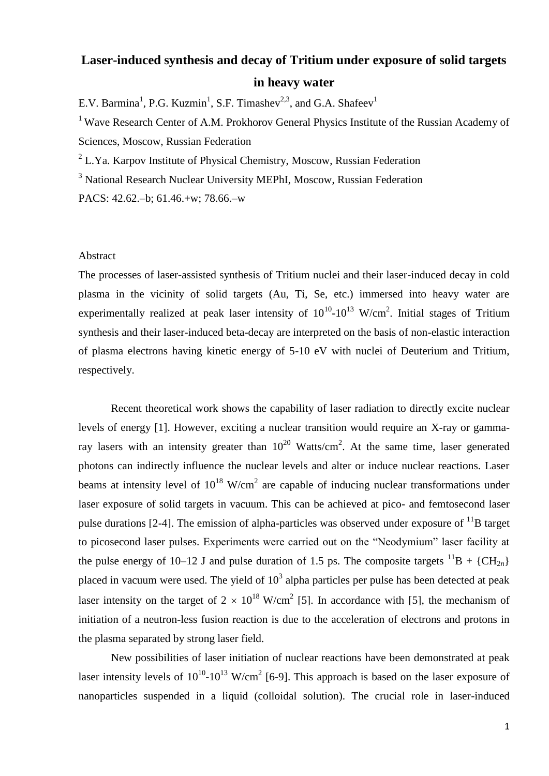## **Laser-induced synthesis and decay of Tritium under exposure of solid targets in heavy water**

E.V. Barmina<sup>1</sup>, P.G. Kuzmin<sup>1</sup>, S.F. Timashev<sup>2,3</sup>, and G.A. Shafeev<sup>1</sup>

<sup>1</sup> Wave Research Center of A.M. Prokhorov General Physics Institute of the Russian Academy of Sciences, Moscow, Russian Federation

 $2$  L.Ya. Karpov Institute of Physical Chemistry, Moscow, Russian Federation

<sup>3</sup> National Research Nuclear University MEPhI, Moscow, Russian Federation

PACS: 42.62.–b; 61.46.+w; 78.66.–w

## Abstract

The processes of laser-assisted synthesis of Tritium nuclei and their laser-induced decay in cold plasma in the vicinity of solid targets (Au, Ti, Se, etc.) immersed into heavy water are experimentally realized at peak laser intensity of  $10^{10}$ - $10^{13}$  W/cm<sup>2</sup>. Initial stages of Tritium synthesis and their laser-induced beta-decay are interpreted on the basis of non-elastic interaction of plasma electrons having kinetic energy of 5-10 eV with nuclei of Deuterium and Tritium, respectively.

Recent theoretical work shows the capability of laser radiation to directly excite nuclear levels of energy [1]. However, exciting a nuclear transition would require an X-ray or gammaray lasers with an intensity greater than  $10^{20}$  Watts/cm<sup>2</sup>. At the same time, laser generated photons can indirectly influence the nuclear levels and alter or induce nuclear reactions. Laser beams at intensity level of  $10^{18}$  W/cm<sup>2</sup> are capable of inducing nuclear transformations under laser exposure of solid targets in vacuum. This can be achieved at pico- and femtosecond laser pulse durations [2-4]. The emission of alpha-particles was observed under exposure of  $^{11}B$  target to picosecond laser pulses. Experiments were carried out on the "Neodymium" laser facility at the pulse energy of 10–12 J and pulse duration of 1.5 ps. The composite targets  ${}^{11}B + {}^{5}CH_{2n}$ placed in vacuum were used. The yield of  $10<sup>3</sup>$  alpha particles per pulse has been detected at peak laser intensity on the target of  $2 \times 10^{18}$  W/cm<sup>2</sup> [5]. In accordance with [5], the mechanism of initiation of a neutron-less fusion reaction is due to the acceleration of electrons and protons in the plasma separated by strong laser field.

New possibilities of laser initiation of nuclear reactions have been demonstrated at peak laser intensity levels of  $10^{10}$ - $10^{13}$  W/cm<sup>2</sup> [6-9]. This approach is based on the laser exposure of nanoparticles suspended in a liquid (colloidal solution). The crucial role in laser-induced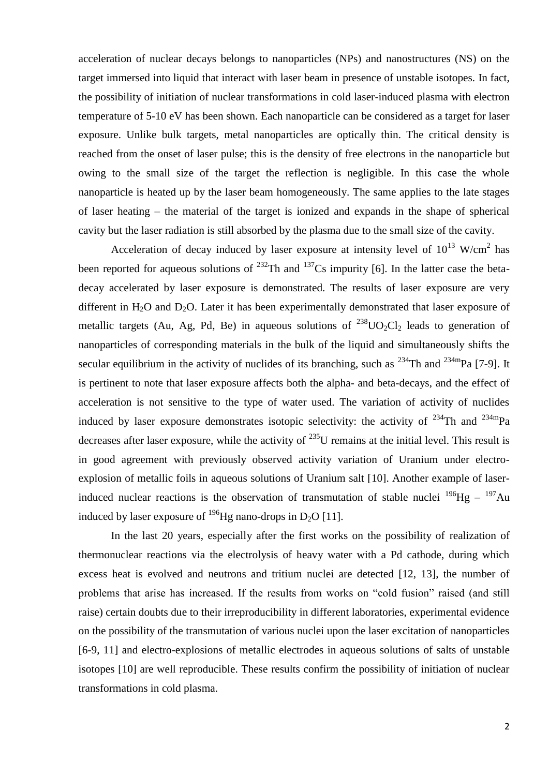acceleration of nuclear decays belongs to nanoparticles (NPs) and nanostructures (NS) on the target immersed into liquid that interact with laser beam in presence of unstable isotopes. In fact, the possibility of initiation of nuclear transformations in cold laser-induced plasma with electron temperature of 5-10 eV has been shown. Each nanoparticle can be considered as a target for laser exposure. Unlike bulk targets, metal nanoparticles are optically thin. The critical density is reached from the onset of laser pulse; this is the density of free electrons in the nanoparticle but owing to the small size of the target the reflection is negligible. In this case the whole nanoparticle is heated up by the laser beam homogeneously. The same applies to the late stages of laser heating – the material of the target is ionized and expands in the shape of spherical cavity but the laser radiation is still absorbed by the plasma due to the small size of the cavity.

Acceleration of decay induced by laser exposure at intensity level of  $10^{13}$  W/cm<sup>2</sup> has been reported for aqueous solutions of  $^{232}$ Th and  $^{137}$ Cs impurity [6]. In the latter case the betadecay accelerated by laser exposure is demonstrated. The results of laser exposure are very different in  $H_2O$  and  $D_2O$ . Later it has been experimentally demonstrated that laser exposure of metallic targets (Au, Ag, Pd, Be) in aqueous solutions of  $^{238}UO_2Cl_2$  leads to generation of nanoparticles of corresponding materials in the bulk of the liquid and simultaneously shifts the secular equilibrium in the activity of nuclides of its branching, such as  $^{234}$ Th and  $^{234}$ mPa [7-9]. It is pertinent to note that laser exposure affects both the alpha- and beta-decays, and the effect of acceleration is not sensitive to the type of water used. The variation of activity of nuclides induced by laser exposure demonstrates isotopic selectivity: the activity of  $^{234}$ Th and  $^{234}$ mPa decreases after laser exposure, while the activity of  $^{235}$ U remains at the initial level. This result is in good agreement with previously observed activity variation of Uranium under electroexplosion of metallic foils in aqueous solutions of Uranium salt [10]. Another example of laserinduced nuclear reactions is the observation of transmutation of stable nuclei  $^{196}Hg - ^{197}Au$ induced by laser exposure of <sup>196</sup>Hg nano-drops in D<sub>2</sub>O [11].

In the last 20 years, especially after the first works on the possibility of realization of thermonuclear reactions via the electrolysis of heavy water with a Pd cathode, during which excess heat is evolved and neutrons and tritium nuclei are detected [12, 13], the number of problems that arise has increased. If the results from works on "cold fusion" raised (and still raise) certain doubts due to their irreproducibility in different laboratories, experimental evidence on the possibility of the transmutation of various nuclei upon the laser excitation of nanoparticles [6-9, 11] and electro-explosions of metallic electrodes in aqueous solutions of salts of unstable isotopes [10] are well reproducible. These results confirm the possibility of initiation of nuclear transformations in cold plasma.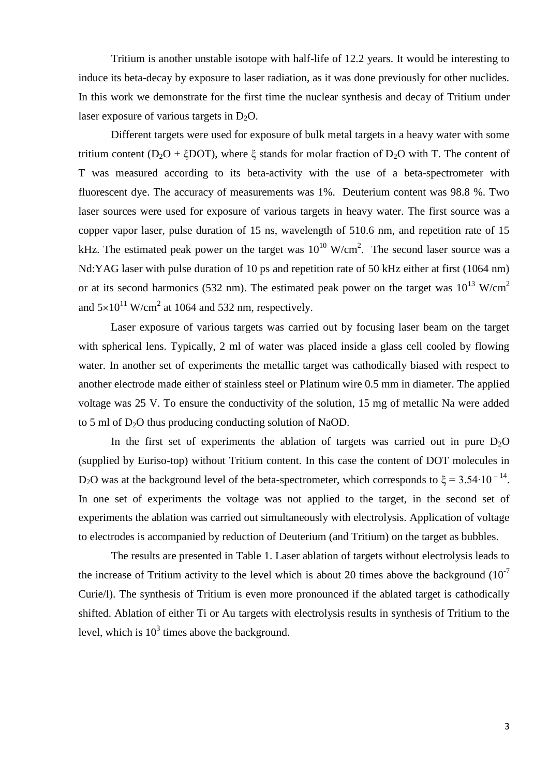Tritium is another unstable isotope with half-life of 12.2 years. It would be interesting to induce its beta-decay by exposure to laser radiation, as it was done previously for other nuclides. In this work we demonstrate for the first time the nuclear synthesis and decay of Tritium under laser exposure of various targets in  $D_2O$ .

Different targets were used for exposure of bulk metal targets in a heavy water with some tritium content (D<sub>2</sub>O + ξDOT), where ξ stands for molar fraction of D<sub>2</sub>O with T. The content of T was measured according to its beta-activity with the use of a beta-spectrometer with fluorescent dye. The accuracy of measurements was 1%. Deuterium content was 98.8 %. Two laser sources were used for exposure of various targets in heavy water. The first source was a copper vapor laser, pulse duration of 15 ns, wavelength of 510.6 nm, and repetition rate of 15 kHz. The estimated peak power on the target was  $10^{10}$  W/cm<sup>2</sup>. The second laser source was a Nd:YAG laser with pulse duration of 10 ps and repetition rate of 50 kHz either at first (1064 nm) or at its second harmonics (532 nm). The estimated peak power on the target was  $10^{13}$  W/cm<sup>2</sup> and  $5\times10^{11}$  W/cm<sup>2</sup> at 1064 and 532 nm, respectively.

Laser exposure of various targets was carried out by focusing laser beam on the target with spherical lens. Typically, 2 ml of water was placed inside a glass cell cooled by flowing water. In another set of experiments the metallic target was cathodically biased with respect to another electrode made either of stainless steel or Platinum wire 0.5 mm in diameter. The applied voltage was 25 V. To ensure the conductivity of the solution, 15 mg of metallic Na were added to 5 ml of  $D_2O$  thus producing conducting solution of NaOD.

In the first set of experiments the ablation of targets was carried out in pure  $D_2O$ (supplied by Euriso-top) without Tritium content. In this case the content of DOT molecules in D<sub>2</sub>O was at the background level of the beta-spectrometer, which corresponds to  $\xi = 3.54 \cdot 10^{-14}$ . In one set of experiments the voltage was not applied to the target, in the second set of experiments the ablation was carried out simultaneously with electrolysis. Application of voltage to electrodes is accompanied by reduction of Deuterium (and Tritium) on the target as bubbles.

The results are presented in Table 1. Laser ablation of targets without electrolysis leads to the increase of Tritium activity to the level which is about 20 times above the background  $(10^{-7}$ Curie/l). The synthesis of Tritium is even more pronounced if the ablated target is cathodically shifted. Ablation of either Ti or Au targets with electrolysis results in synthesis of Tritium to the level, which is  $10^3$  times above the background.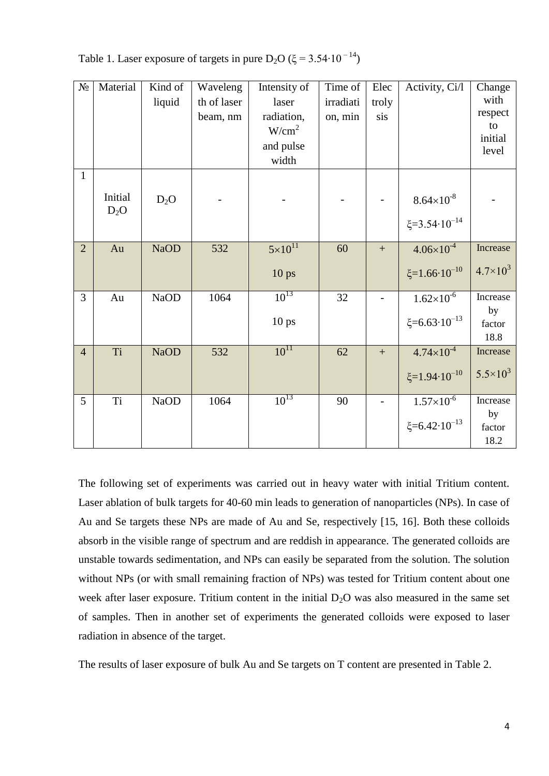Table 1. Laser exposure of targets in pure D<sub>2</sub>O ( $\xi$  = 3.54⋅10<sup>-14</sup>)

| $N_{\! \! \Omega}$ | Material          | Kind of<br>liquid | Waveleng<br>th of laser<br>beam, nm | Intensity of<br>laser<br>radiation,<br>W/cm <sup>2</sup> | Time of<br>irradiati<br>on, min | Elec<br>troly<br>sis | Activity, Ci/l                                       | Change<br>with<br>respect<br>to  |
|--------------------|-------------------|-------------------|-------------------------------------|----------------------------------------------------------|---------------------------------|----------------------|------------------------------------------------------|----------------------------------|
|                    |                   |                   |                                     | and pulse<br>width                                       |                                 |                      |                                                      | initial<br>level                 |
| $\mathbf{1}$       | Initial<br>$D_2O$ | $D_2O$            |                                     |                                                          |                                 |                      | $8.64 \times 10^{-8}$<br>$\xi = 3.54 \cdot 10^{-14}$ |                                  |
| $\overline{2}$     | Au                | <b>NaOD</b>       | 532                                 | $5 \times 10^{11}$<br>10 <sub>ps</sub>                   | 60                              | $\qquad \qquad +$    | $4.06 \times 10^{-4}$<br>$\xi = 1.66 \cdot 10^{-10}$ | Increase<br>$4.7 \times 10^{3}$  |
| 3                  | Au                | <b>NaOD</b>       | 1064                                | $10^{13}$<br>10 <sub>ps</sub>                            | 32                              |                      | $1.62\times10^{-6}$<br>$\xi = 6.63 \cdot 10^{-13}$   | Increase<br>by<br>factor<br>18.8 |
| $\overline{4}$     | Ti                | <b>NaOD</b>       | 532                                 | $10^{11}$                                                | 62                              | $\qquad \qquad +$    | $4.74 \times 10^{-4}$<br>$\xi = 1.94 \cdot 10^{-10}$ | Increase<br>$5.5 \times 10^3$    |
| 5                  | <b>Ti</b>         | <b>NaOD</b>       | 1064                                | $10^{13}$                                                | 90                              |                      | $1.57 \times 10^{-6}$<br>$\xi = 6.42 \cdot 10^{-13}$ | Increase<br>by<br>factor<br>18.2 |

The following set of experiments was carried out in heavy water with initial Tritium content. Laser ablation of bulk targets for 40-60 min leads to generation of nanoparticles (NPs). In case of Au and Se targets these NPs are made of Au and Se, respectively [15, 16]. Both these colloids absorb in the visible range of spectrum and are reddish in appearance. The generated colloids are unstable towards sedimentation, and NPs can easily be separated from the solution. The solution without NPs (or with small remaining fraction of NPs) was tested for Tritium content about one week after laser exposure. Tritium content in the initial  $D_2O$  was also measured in the same set of samples. Then in another set of experiments the generated colloids were exposed to laser radiation in absence of the target.

The results of laser exposure of bulk Au and Se targets on T content are presented in Table 2.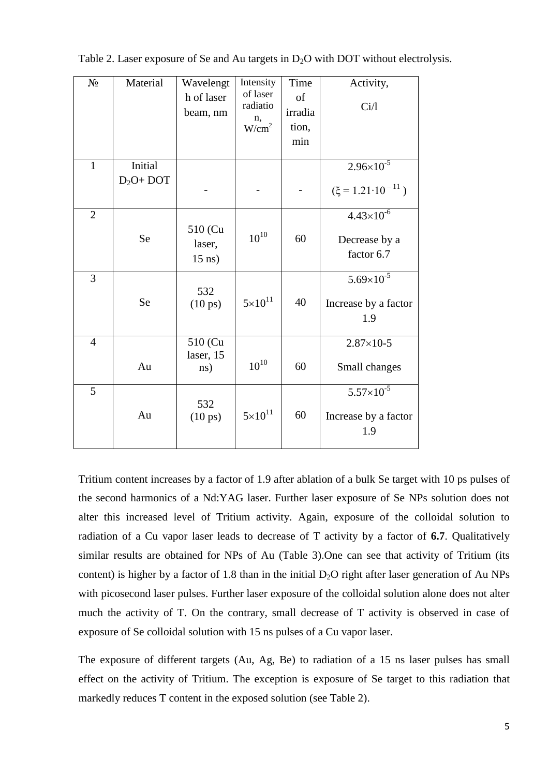| $N_{\Omega}$   | Material               | Wavelengt<br>h of laser<br>beam, nm   | Intensity<br>of laser<br>radiatio<br>n,<br>W/cm <sup>2</sup> | Time<br>of<br>irradia<br>tion,<br>min | Activity,<br>Ci/1                                      |
|----------------|------------------------|---------------------------------------|--------------------------------------------------------------|---------------------------------------|--------------------------------------------------------|
| $\mathbf{1}$   | Initial<br>$D_2O+$ DOT |                                       |                                                              |                                       | $2.96 \times 10^{-5}$<br>$(\xi = 1.21 \cdot 10^{-11})$ |
| $\overline{2}$ | <b>Se</b>              | 510 (Cu<br>laser,<br>$15$ ns)         | $10^{10}$                                                    | 60                                    | $4.43\times10^{-6}$<br>Decrease by a<br>factor 6.7     |
| 3              | <b>Se</b>              | 532<br>$(10 \text{ ps})$              | $5 \times 10^{11}$                                           | 40                                    | $5.69\times10^{-5}$<br>Increase by a factor<br>1.9     |
| 4              | Au                     | 510 (Cu<br>laser, 15<br>$\text{ns}$ ) | $10^{10}$                                                    | 60                                    | $2.87 \times 10 - 5$<br>Small changes                  |
| 5              | Au                     | 532<br>$(10 \text{ ps})$              | $5 \times 10^{11}$                                           | 60                                    | $5.57 \times 10^{-5}$<br>Increase by a factor<br>1.9   |

Table 2. Laser exposure of Se and Au targets in  $D_2O$  with DOT without electrolysis.

Tritium content increases by a factor of 1.9 after ablation of a bulk Se target with 10 ps pulses of the second harmonics of a Nd:YAG laser. Further laser exposure of Se NPs solution does not alter this increased level of Tritium activity. Again, exposure of the colloidal solution to radiation of a Cu vapor laser leads to decrease of T activity by a factor of **6.7**. Qualitatively similar results are obtained for NPs of Au (Table 3).One can see that activity of Tritium (its content) is higher by a factor of 1.8 than in the initial  $D_2O$  right after laser generation of Au NPs with picosecond laser pulses. Further laser exposure of the colloidal solution alone does not alter much the activity of T. On the contrary, small decrease of T activity is observed in case of exposure of Se colloidal solution with 15 ns pulses of a Cu vapor laser.

The exposure of different targets (Au, Ag, Be) to radiation of a 15 ns laser pulses has small effect on the activity of Tritium. The exception is exposure of Se target to this radiation that markedly reduces T content in the exposed solution (see Table 2).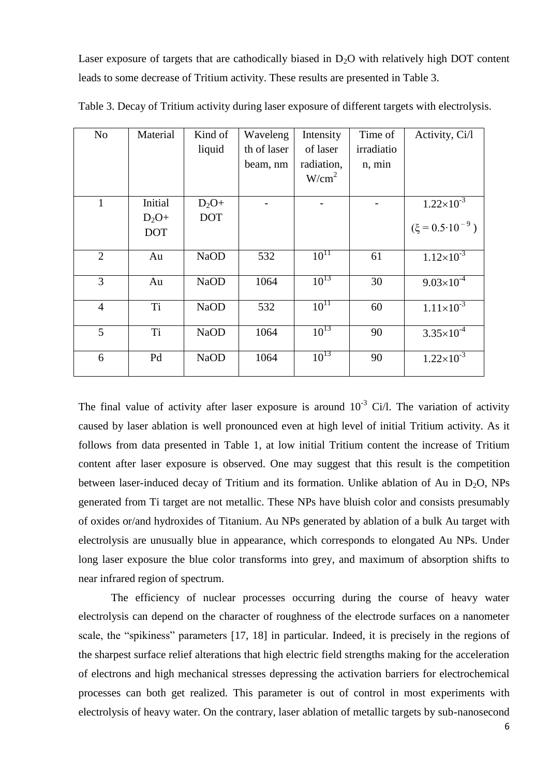Laser exposure of targets that are cathodically biased in  $D_2O$  with relatively high DOT content leads to some decrease of Tritium activity. These results are presented in Table 3.

| N <sub>o</sub> | Material   | Kind of     | Waveleng    | Intensity         | Time of    | Activity, Ci/l              |
|----------------|------------|-------------|-------------|-------------------|------------|-----------------------------|
|                |            | liquid      | th of laser | of laser          | irradiatio |                             |
|                |            |             | beam, nm    | radiation,        | n, min     |                             |
|                |            |             |             | W/cm <sup>2</sup> |            |                             |
|                |            |             |             |                   |            |                             |
| 1              | Initial    | $D_2O+$     |             |                   |            | $1.22\times10^{-3}$         |
|                | $D_2O+$    | <b>DOT</b>  |             |                   |            |                             |
|                | <b>DOT</b> |             |             |                   |            | $(\xi = 0.5 \cdot 10^{-9})$ |
|                |            |             |             |                   |            |                             |
| $\overline{2}$ | Au         | <b>NaOD</b> | 532         | $10^{11}$         | 61         | $1.12\times10^{-3}$         |
|                |            |             |             |                   |            |                             |
| 3              | Au         | <b>NaOD</b> | 1064        | $10^{13}$         | 30         | $9.03 \times 10^{-4}$       |
|                |            |             |             |                   |            |                             |
| $\overline{4}$ | Ti         | <b>NaOD</b> | 532         | $10^{11}$         | 60         | $1.11 \times 10^{-3}$       |
|                |            |             |             |                   |            |                             |
| 5              | Ti         | <b>NaOD</b> | 1064        | $10^{13}$         | 90         | $3.35 \times 10^{-4}$       |
|                |            |             |             |                   |            |                             |
| 6              | Pd         | <b>NaOD</b> | 1064        | $10^{13}$         | 90         | $1.22 \times 10^{-3}$       |
|                |            |             |             |                   |            |                             |

Table 3. Decay of Tritium activity during laser exposure of different targets with electrolysis.

The final value of activity after laser exposure is around  $10^{-3}$  Ci/l. The variation of activity caused by laser ablation is well pronounced even at high level of initial Tritium activity. As it follows from data presented in Table 1, at low initial Tritium content the increase of Tritium content after laser exposure is observed. One may suggest that this result is the competition between laser-induced decay of Tritium and its formation. Unlike ablation of Au in  $D_2O$ , NPs generated from Ti target are not metallic. These NPs have bluish color and consists presumably of oxides or/and hydroxides of Titanium. Au NPs generated by ablation of a bulk Au target with electrolysis are unusually blue in appearance, which corresponds to elongated Au NPs. Under long laser exposure the blue color transforms into grey, and maximum of absorption shifts to near infrared region of spectrum.

The efficiency of nuclear processes occurring during the course of heavy water electrolysis can depend on the character of roughness of the electrode surfaces on a nanometer scale, the "spikiness" parameters [17, 18] in particular. Indeed, it is precisely in the regions of the sharpest surface relief alterations that high electric field strengths making for the acceleration of electrons and high mechanical stresses depressing the activation barriers for electrochemical processes can both get realized. This parameter is out of control in most experiments with electrolysis of heavy water. On the contrary, laser ablation of metallic targets by sub-nanosecond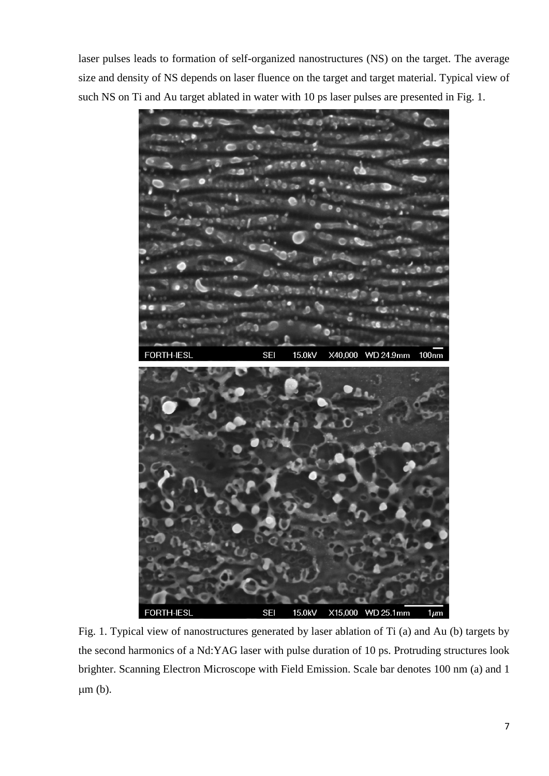laser pulses leads to formation of self-organized nanostructures (NS) on the target. The average size and density of NS depends on laser fluence on the target and target material. Typical view of such NS on Ti and Au target ablated in water with 10 ps laser pulses are presented in Fig. 1.



Fig. 1. Typical view of nanostructures generated by laser ablation of Ti (a) and Au (b) targets by the second harmonics of a Nd:YAG laser with pulse duration of 10 ps. Protruding structures look brighter. Scanning Electron Microscope with Field Emission. Scale bar denotes 100 nm (a) and 1  $\mu$ m (b).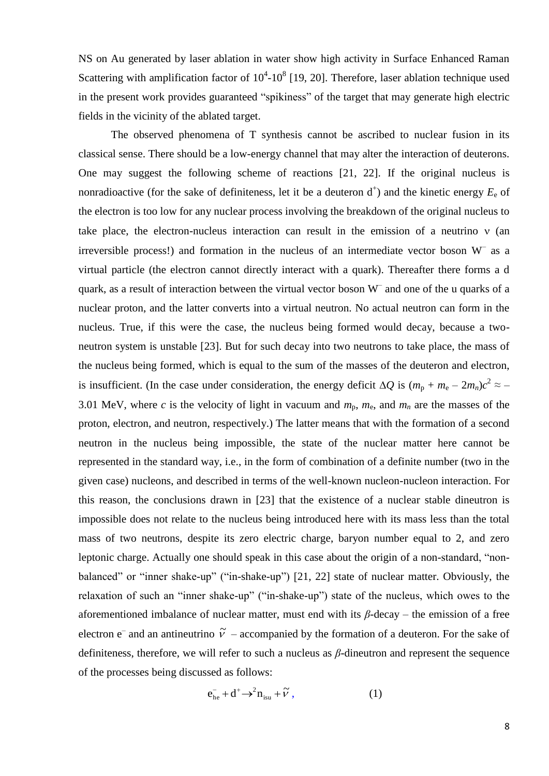NS on Au generated by laser ablation in water show high activity in Surface Enhanced Raman Scattering with amplification factor of  $10^4$ - $10^8$  [19, 20]. Therefore, laser ablation technique used in the present work provides guaranteed "spikiness" of the target that may generate high electric fields in the vicinity of the ablated target.

The observed phenomena of T synthesis cannot be ascribed to nuclear fusion in its classical sense. There should be a low-energy channel that may alter the interaction of deuterons. One may suggest the following scheme of reactions [21, 22]. If the original nucleus is nonradioactive (for the sake of definiteness, let it be a deuteron  $d^+$ ) and the kinetic energy  $E_e$  of the electron is too low for any nuclear process involving the breakdown of the original nucleus to take place, the electron-nucleus interaction can result in the emission of a neutrino  $v$  (an irreversible process!) and formation in the nucleus of an intermediate vector boson  $W^-$  as a virtual particle (the electron cannot directly interact with a quark). Thereafter there forms a d quark, as a result of interaction between the virtual vector boson W– and one of the u quarks of a nuclear proton, and the latter converts into a virtual neutron. No actual neutron can form in the nucleus. True, if this were the case, the nucleus being formed would decay, because a twoneutron system is unstable [23]. But for such decay into two neutrons to take place, the mass of the nucleus being formed, which is equal to the sum of the masses of the deuteron and electron, is insufficient. (In the case under consideration, the energy deficit  $\Delta Q$  is  $(m_p + m_e - 2m_n)c^2 \approx -$ 3.01 MeV, where *c* is the velocity of light in vacuum and  $m_p$ ,  $m_e$ , and  $m_n$  are the masses of the proton, electron, and neutron, respectively.) The latter means that with the formation of a second neutron in the nucleus being impossible, the state of the nuclear matter here cannot be represented in the standard way, i.e., in the form of combination of a definite number (two in the given case) nucleons, and described in terms of the well-known nucleon-nucleon interaction. For this reason, the conclusions drawn in [23] that the existence of a nuclear stable dineutron is impossible does not relate to the nucleus being introduced here with its mass less than the total mass of two neutrons, despite its zero electric charge, baryon number equal to 2, and zero leptonic charge. Actually one should speak in this case about the origin of a non-standard, "nonbalanced" or "inner shake-up" ("in-shake-up") [21, 22] state of nuclear matter. Obviously, the relaxation of such an "inner shake-up" ("in-shake-up") state of the nucleus, which owes to the aforementioned imbalance of nuclear matter, must end with its  $β$ -decay – the emission of a free electron  $\mathbf{e}^-$  and an antineutrino  $\tilde{v}$  – accompanied by the formation of a deuteron. For the sake of definiteness, therefore, we will refer to such a nucleus as *β*-dineutron and represent the sequence of the processes being discussed as follows:

$$
e_{he}^- + d^+ \rightarrow^2 n_{isu} + \tilde{\nu} \,, \tag{1}
$$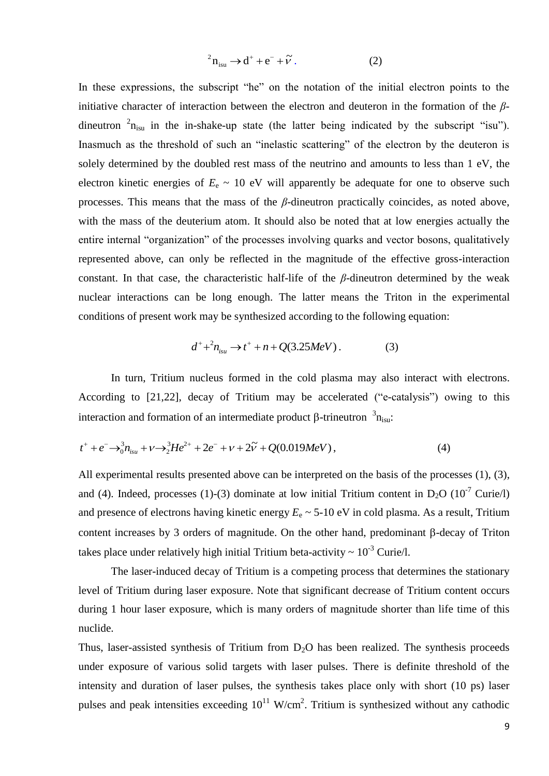$$
{}^{2}n_{isu} \rightarrow d^{+} + e^{-} + \widetilde{v} \ . \tag{2}
$$

In these expressions, the subscript "he" on the notation of the initial electron points to the initiative character of interaction between the electron and deuteron in the formation of the *β*dineutron  ${}^{2}n_{isu}$  in the in-shake-up state (the latter being indicated by the subscript "isu"). Inasmuch as the threshold of such an "inelastic scattering" of the electron by the deuteron is solely determined by the doubled rest mass of the neutrino and amounts to less than 1 eV, the electron kinetic energies of  $E_e \sim 10$  eV will apparently be adequate for one to observe such processes. This means that the mass of the *β*-dineutron practically coincides, as noted above, with the mass of the deuterium atom. It should also be noted that at low energies actually the entire internal "organization" of the processes involving quarks and vector bosons, qualitatively represented above, can only be reflected in the magnitude of the effective gross-interaction constant. In that case, the characteristic half-life of the *β*-dineutron determined by the weak nuclear interactions can be long enough. The latter means the Triton in the experimental conditions of present work may be synthesized according to the following equation:

$$
d^+ + ^2 n_{isu} \to t^+ + n + Q(3.25 MeV) \,. \tag{3}
$$

In turn, Tritium nucleus formed in the cold plasma may also interact with electrons. According to [21,22], decay of Tritium may be accelerated ("e-catalysis") owing to this interaction and formation of an intermediate product  $\beta$ -trineutron  $\beta_{n_{\text{isu}}}$ :

$$
t^+ + e^- \rightarrow \delta_0^3 n_{isu} + \nu \rightarrow \delta_2^3 H e^{2+} + 2e^- + \nu + 2\tilde{\nu} + Q(0.019 MeV), \tag{4}
$$

All experimental results presented above can be interpreted on the basis of the processes (1), (3), and (4). Indeed, processes (1)-(3) dominate at low initial Tritium content in  $D_2O$  (10<sup>-7</sup> Curie/l) and presence of electrons having kinetic energy  $E_e \sim 5{\text -}10 \text{ eV}$  in cold plasma. As a result, Tritium content increases by 3 orders of magnitude. On the other hand, predominant  $\beta$ -decay of Triton takes place under relatively high initial Tritium beta-activity  $\sim 10^{-3}$  Curie/l.

The laser-induced decay of Tritium is a competing process that determines the stationary level of Tritium during laser exposure. Note that significant decrease of Tritium content occurs during 1 hour laser exposure, which is many orders of magnitude shorter than life time of this nuclide.

Thus, laser-assisted synthesis of Tritium from  $D_2O$  has been realized. The synthesis proceeds under exposure of various solid targets with laser pulses. There is definite threshold of the intensity and duration of laser pulses, the synthesis takes place only with short (10 ps) laser pulses and peak intensities exceeding  $10^{11}$  W/cm<sup>2</sup>. Tritium is synthesized without any cathodic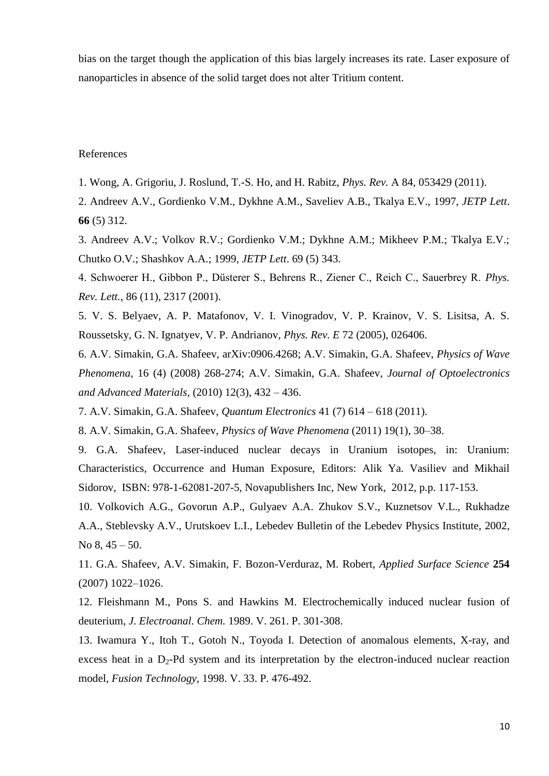bias on the target though the application of this bias largely increases its rate. Laser exposure of nanoparticles in absence of the solid target does not alter Tritium content.

## References

1. Wong, A. Grigoriu, J. Roslund, T.-S. Ho, and H. Rabitz, *Phys. Rev.* A 84, 053429 (2011).

2. Andreev A.V., Gordienko V.M., Dykhne A.M., Saveliev A.B., Tkalya E.V., 1997, *JETP Lett*. **66** (5) 312.

3. Andreev A.V.; Volkov R.V.; Gordienko V.M.; Dykhne A.M.; Mikheev P.M.; Tkalya E.V.; Chutko O.V.; Shashkov A.A.; 1999, *JETP Lett*. 69 (5) 343.

4. Schwoerer H., Gibbon P., Düsterer S., Behrens R., Ziener C., Reich C., Sauerbrey R. *Phys. Rev. Lett.*, 86 (11), 2317 (2001).

5. V. S. Belyaev, A. P. Matafonov, V. I. Vinogradov, V. P. Krainov, V. S. Lisitsa, A. S. Roussetsky, G. N. Ignatyev, V. P. Andrianov, *Phys. Rev. E* 72 (2005), 026406.

6. A.V. Simakin, G.A. Shafeev, arXiv:0906.4268; A.V. Simakin, G.A. Shafeev, *Physics of Wave Phenomena,* 16 (4) (2008) 268-274; A.V. Simakin, G.A. Shafeev, *Journal of Optoelectronics and Advanced Materials*, (2010) 12(3), 432 – 436.

7. A.V. Simakin, G.A. Shafeev, *Quantum Electronics* 41 (7) 614 – 618 (2011).

8. A.V. Simakin, G.A. Shafeev, *Physics of Wave Phenomena* (2011) 19(1), 30–38.

9. G.A. Shafeev, Laser-induced nuclear decays in Uranium isotopes, in: Uranium: Characteristics, Occurrence and Human Exposure, Editors: Alik Ya. Vasiliev and Mikhail Sidorov, ISBN: 978-1-62081-207-5, Novapublishers Inc, New York, 2012, p.p. 117-153.

10. Volkovich A.G., Govorun A.P., Gulyaev A.A. Zhukov S.V., Kuznetsov V.L., Rukhadze A.A., Steblevsky A.V., Urutskoev L.I., Lebedev Bulletin of the Lebedev Physics Institute, 2002, No 8, 45 – 50.

11. G.A. Shafeev, A.V. Simakin, F. Bozon-Verduraz, M. Robert, *Applied Surface Science* **254** (2007) 1022–1026.

12. Fleishmann M., Pons S. and Hawkins M. Electrochemically induced nuclear fusion of deuterium, *J. Electroanal. Chem.* 1989. V. 261. P. 301-308.

13. Iwamura Y., Itoh T., Gotoh N., Toyoda I. Detection of anomalous elements, X-ray, and excess heat in a  $D_2$ -Pd system and its interpretation by the electron-induced nuclear reaction model, *Fusion Technology*, 1998. V. 33. P. 476-492.